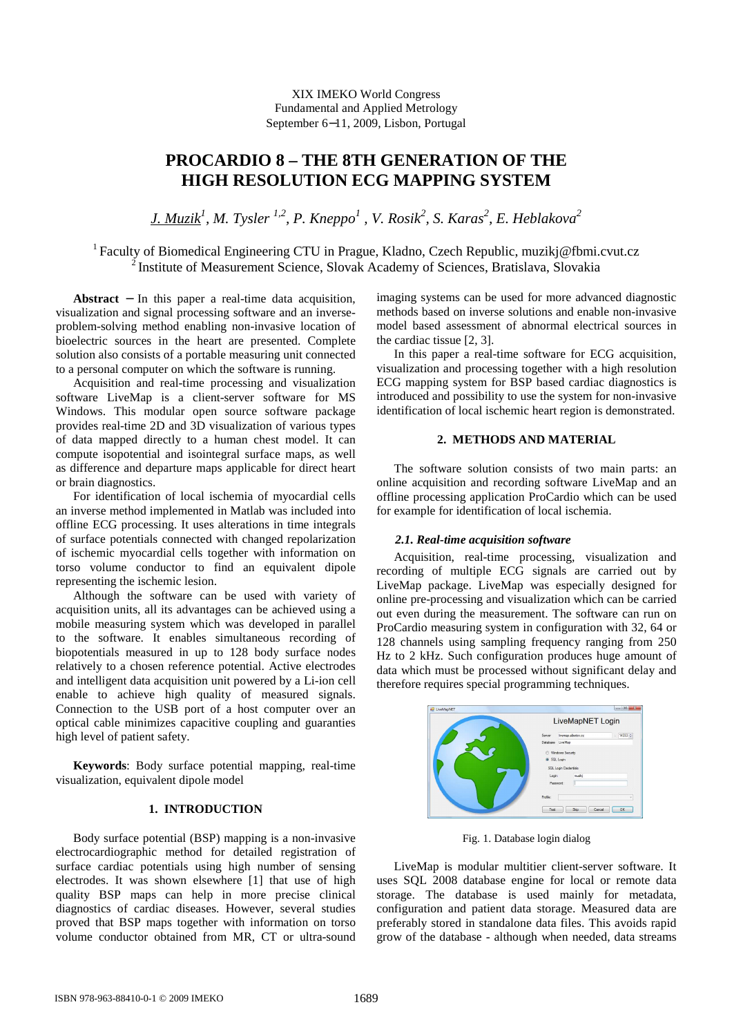XIX IMEKO World Congress Fundamental and Applied Metrology September 6−11, 2009, Lisbon, Portugal

# **PROCARDIO 8 – THE 8TH GENERATION OF THE HIGH RESOLUTION ECG MAPPING SYSTEM**

*J. Muzik<sup>1</sup> , M. Tysler 1,2, P. Kneppo<sup>1</sup> , V. Rosik<sup>2</sup> , S. Karas<sup>2</sup> , E. Heblakova<sup>2</sup>*

<sup>1</sup> Faculty of Biomedical Engineering CTU in Prague, Kladno, Czech Republic, muzikj@fbmi.cvut.cz <sup>2</sup> Institute of Measurement Science, Slovak Academy of Sciences, Bratislava, Slovakia

**Abstract** − In this paper a real-time data acquisition, visualization and signal processing software and an inverseproblem-solving method enabling non-invasive location of bioelectric sources in the heart are presented. Complete solution also consists of a portable measuring unit connected to a personal computer on which the software is running.

Acquisition and real-time processing and visualization software LiveMap is a client-server software for MS Windows. This modular open source software package provides real-time 2D and 3D visualization of various types of data mapped directly to a human chest model. It can compute isopotential and isointegral surface maps, as well as difference and departure maps applicable for direct heart or brain diagnostics.

For identification of local ischemia of myocardial cells an inverse method implemented in Matlab was included into offline ECG processing. It uses alterations in time integrals of surface potentials connected with changed repolarization of ischemic myocardial cells together with information on torso volume conductor to find an equivalent dipole representing the ischemic lesion.

Although the software can be used with variety of acquisition units, all its advantages can be achieved using a mobile measuring system which was developed in parallel to the software. It enables simultaneous recording of biopotentials measured in up to 128 body surface nodes relatively to a chosen reference potential. Active electrodes and intelligent data acquisition unit powered by a Li-ion cell enable to achieve high quality of measured signals. Connection to the USB port of a host computer over an optical cable minimizes capacitive coupling and guaranties high level of patient safety.

**Keywords**: Body surface potential mapping, real-time visualization, equivalent dipole model

## **1. INTRODUCTION**

Body surface potential (BSP) mapping is a non-invasive electrocardiographic method for detailed registration of surface cardiac potentials using high number of sensing electrodes. It was shown elsewhere [1] that use of high quality BSP maps can help in more precise clinical diagnostics of cardiac diseases. However, several studies proved that BSP maps together with information on torso volume conductor obtained from MR, CT or ultra-sound

imaging systems can be used for more advanced diagnostic methods based on inverse solutions and enable non-invasive model based assessment of abnormal electrical sources in the cardiac tissue [2, 3].

In this paper a real-time software for ECG acquisition, visualization and processing together with a high resolution ECG mapping system for BSP based cardiac diagnostics is introduced and possibility to use the system for non-invasive identification of local ischemic heart region is demonstrated.

# **2. METHODS AND MATERIAL**

The software solution consists of two main parts: an online acquisition and recording software LiveMap and an offline processing application ProCardio which can be used for example for identification of local ischemia.

## *2.1. Real-time acquisition software*

Acquisition, real-time processing, visualization and recording of multiple ECG signals are carried out by LiveMap package. LiveMap was especially designed for online pre-processing and visualization which can be carried out even during the measurement. The software can run on ProCardio measuring system in configuration with 32, 64 or 128 channels using sampling frequency ranging from 250 Hz to 2 kHz. Such configuration produces huge amount of data which must be processed without significant delay and therefore requires special programming techniques.

| <b>DO</b> LiveMapNET | $\Box$ e $\Box$<br>LiveMapNET Login                                                   |
|----------------------|---------------------------------------------------------------------------------------|
|                      | $14333 +$<br>Ivenap abetov.cz<br>Server<br>ø.                                         |
|                      | <b>LiveMap</b><br>Database.<br>Windows Security<br>SQL Login<br>SQL Login Credentials |
|                      | muziki<br>Login:<br>Password:                                                         |
|                      | Profile:<br>OK<br>Test<br>Sop<br>Cancel                                               |

Fig. 1. Database login dialog

LiveMap is modular multitier client-server software. It uses SQL 2008 database engine for local or remote data storage. The database is used mainly for metadata, configuration and patient data storage. Measured data are preferably stored in standalone data files. This avoids rapid grow of the database - although when needed, data streams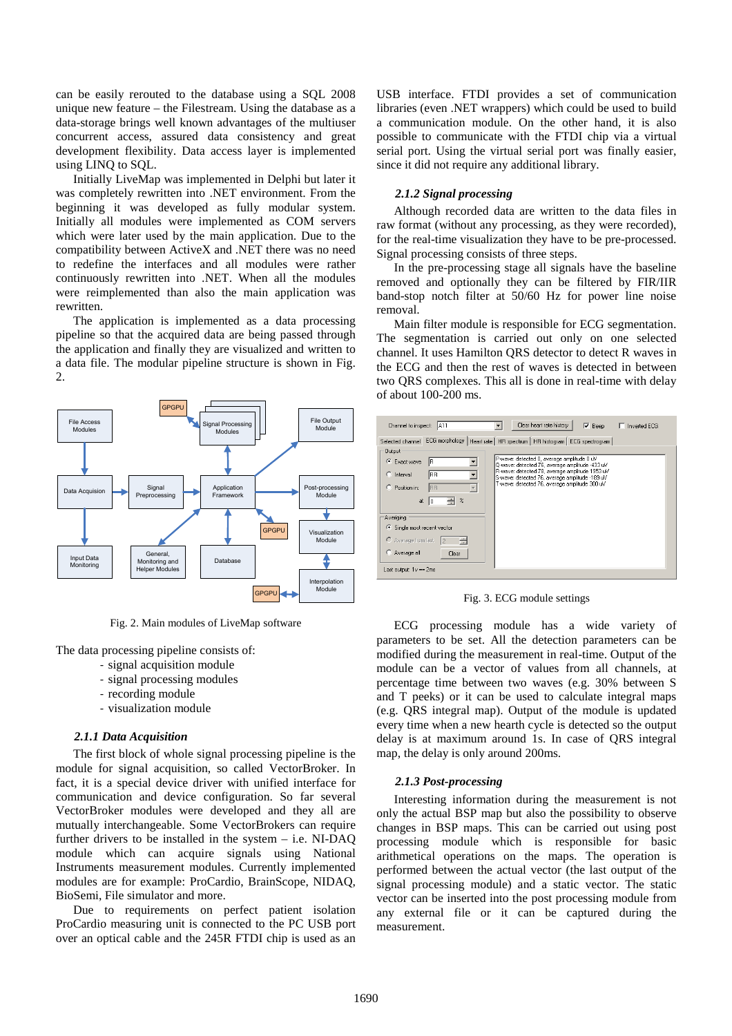can be easily rerouted to the database using a SQL 2008 unique new feature – the Filestream. Using the database as a data-storage brings well known advantages of the multiuser concurrent access, assured data consistency and great development flexibility. Data access layer is implemented using LINQ to SQL.

Initially LiveMap was implemented in Delphi but later it was completely rewritten into .NET environment. From the beginning it was developed as fully modular system. Initially all modules were implemented as COM servers which were later used by the main application. Due to the compatibility between ActiveX and .NET there was no need to redefine the interfaces and all modules were rather continuously rewritten into .NET. When all the modules were reimplemented than also the main application was rewritten.

The application is implemented as a data processing pipeline so that the acquired data are being passed through the application and finally they are visualized and written to a data file. The modular pipeline structure is shown in Fig. 2.



Fig. 2. Main modules of LiveMap software

The data processing pipeline consists of:

- signal acquisition module
- signal processing modules
- recording module
- visualization module

# *2.1.1 Data Acquisition*

The first block of whole signal processing pipeline is the module for signal acquisition, so called VectorBroker. In fact, it is a special device driver with unified interface for communication and device configuration. So far several VectorBroker modules were developed and they all are mutually interchangeable. Some VectorBrokers can require further drivers to be installed in the system  $-$  i.e. NI-DAQ module which can acquire signals using National Instruments measurement modules. Currently implemented modules are for example: ProCardio, BrainScope, NIDAQ, BioSemi, File simulator and more.

Due to requirements on perfect patient isolation ProCardio measuring unit is connected to the PC USB port over an optical cable and the 245R FTDI chip is used as an USB interface. FTDI provides a set of communication libraries (even .NET wrappers) which could be used to build a communication module. On the other hand, it is also possible to communicate with the FTDI chip via a virtual serial port. Using the virtual serial port was finally easier, since it did not require any additional library.

# *2.1.2 Signal processing*

 Although recorded data are written to the data files in raw format (without any processing, as they were recorded), for the real-time visualization they have to be pre-processed. Signal processing consists of three steps.

 In the pre-processing stage all signals have the baseline removed and optionally they can be filtered by FIR/IIR band-stop notch filter at 50/60 Hz for power line noise removal.

Main filter module is responsible for ECG segmentation. The segmentation is carried out only on one selected channel. It uses Hamilton QRS detector to detect R waves in the ECG and then the rest of waves is detected in between two QRS complexes. This all is done in real-time with delay of about 100-200 ms.



Fig. 3. ECG module settings

ECG processing module has a wide variety of parameters to be set. All the detection parameters can be modified during the measurement in real-time. Output of the module can be a vector of values from all channels, at percentage time between two waves (e.g. 30% between S and T peeks) or it can be used to calculate integral maps (e.g. QRS integral map). Output of the module is updated every time when a new hearth cycle is detected so the output delay is at maximum around 1s. In case of QRS integral map, the delay is only around 200ms.

#### *2.1.3 Post-processing*

 Interesting information during the measurement is not only the actual BSP map but also the possibility to observe changes in BSP maps. This can be carried out using post processing module which is responsible for basic arithmetical operations on the maps. The operation is performed between the actual vector (the last output of the signal processing module) and a static vector. The static vector can be inserted into the post processing module from any external file or it can be captured during the measurement.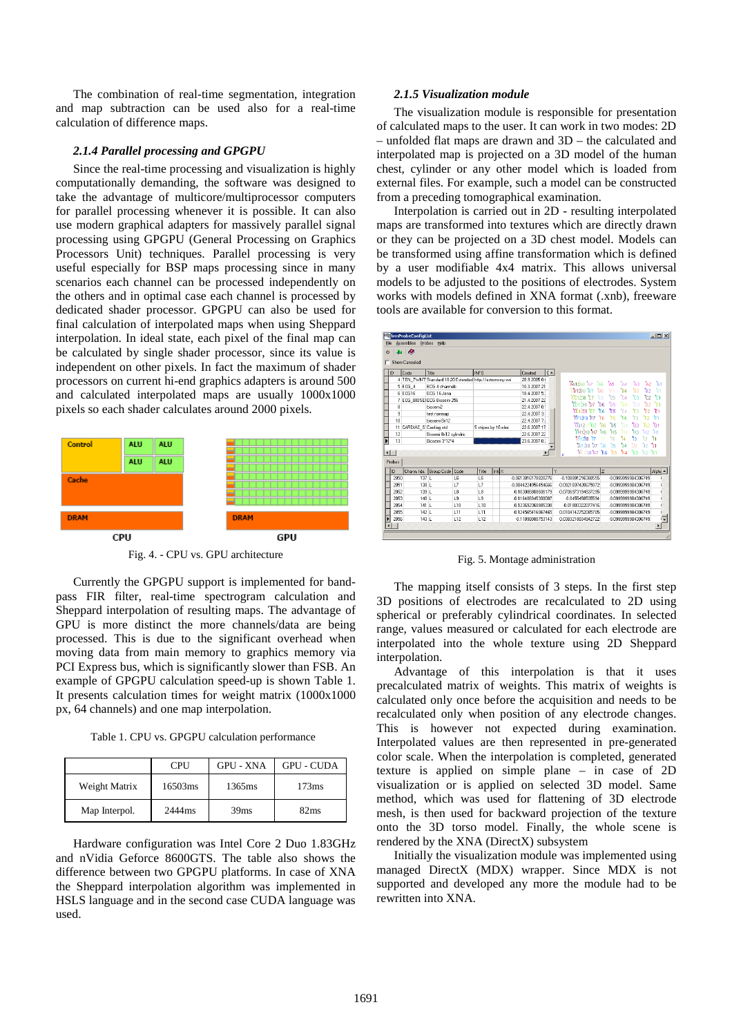The combination of real-time segmentation, integration and map subtraction can be used also for a real-time calculation of difference maps.

#### *2.1.4 Parallel processing and GPGPU*

Since the real-time processing and visualization is highly computationally demanding, the software was designed to take the advantage of multicore/multiprocessor computers for parallel processing whenever it is possible. It can also use modern graphical adapters for massively parallel signal processing using GPGPU (General Processing on Graphics Processors Unit) techniques. Parallel processing is very useful especially for BSP maps processing since in many scenarios each channel can be processed independently on the others and in optimal case each channel is processed by dedicated shader processor. GPGPU can also be used for final calculation of interpolated maps when using Sheppard interpolation. In ideal state, each pixel of the final map can be calculated by single shader processor, since its value is independent on other pixels. In fact the maximum of shader processors on current hi-end graphics adapters is around 500 and calculated interpolated maps are usually 1000x1000 pixels so each shader calculates around 2000 pixels.



Fig. 4. - CPU vs. GPU architecture

Currently the GPGPU support is implemented for bandpass FIR filter, real-time spectrogram calculation and Sheppard interpolation of resulting maps. The advantage of GPU is more distinct the more channels/data are being processed. This is due to the significant overhead when moving data from main memory to graphics memory via PCI Express bus, which is significantly slower than FSB. An example of GPGPU calculation speed-up is shown Table 1. It presents calculation times for weight matrix (1000x1000 px, 64 channels) and one map interpolation.

Table 1. CPU vs. GPGPU calculation performance

|               | <b>CPU</b> | <b>GPU - XNA</b>   | <b>GPU - CUDA</b> |
|---------------|------------|--------------------|-------------------|
| Weight Matrix | 16503ms    | 1365 <sub>ms</sub> | 173ms             |
| Map Interpol. | 2444ms     | 39 <sub>ms</sub>   | 82ms              |

Hardware configuration was Intel Core 2 Duo 1.83GHz and nVidia Geforce 8600GTS. The table also shows the difference between two GPGPU platforms. In case of XNA the Sheppard interpolation algorithm was implemented in HSLS language and in the second case CUDA language was used.

## *2.1.5 Visualization module*

The visualization module is responsible for presentation of calculated maps to the user. It can work in two modes: 2D – unfolded flat maps are drawn and 3D – the calculated and interpolated map is projected on a 3D model of the human chest, cylinder or any other model which is loaded from external files. For example, such a model can be constructed from a preceding tomographical examination.

Interpolation is carried out in 2D - resulting interpolated maps are transformed into textures which are directly drawn or they can be projected on a 3D chest model. Models can be transformed using affine transformation which is defined by a user modifiable 4x4 matrix. This allows universal models to be adjusted to the positions of electrodes. System works with models defined in XNA format (.xnb), freeware tools are available for conversion to this format.

| O              | ∙<br>a ku                    |                                                                     |                      |                                                         |              |  |                             |    |                     |                 |           |            |                     |           |              |
|----------------|------------------------------|---------------------------------------------------------------------|----------------------|---------------------------------------------------------|--------------|--|-----------------------------|----|---------------------|-----------------|-----------|------------|---------------------|-----------|--------------|
| ID             | <b>Show Canceled</b><br>Code | Title                                                               |                      | <b>INFO</b>                                             |              |  | $d -$<br>Created            |    |                     |                 |           |            |                     |           |              |
|                |                              |                                                                     |                      | 4 TEN TWNT Standard 10-20 Extended http://astronomv.swi |              |  | 28.9.2005.01                |    |                     |                 |           |            |                     |           |              |
|                | 5 ECG 4                      | EDG 4 channels                                                      |                      |                                                         |              |  | 10.3.2007.21                |    | <b>TA12A8 TA7</b>   | 266<br>ħs       | ħ5        | ħ4         | ŤАЗ                 | tho.      | tan          |
|                | 6 ECG16                      | FCG 16 Jana<br>ECG BIOSE ECG Biosemi 256<br>hinseni2<br>test nonmap |                      |                                                         |              |  | 18.4.2007 5:                |    | iterdia tez         |                 | ħБ        | ħ4         | 'nз                 | ħ2        | 'n           |
|                | 7                            |                                                                     |                      |                                                         |              |  | 21 4 2007 22                |    | itinina tra         |                 | ħs        | 'nа        | ħз                  | tc2       | ħı           |
|                | 8                            |                                                                     |                      |                                                         |              |  | 22.4.2007.0<br>22 4 2007 3: |    | Thing hz            | Ťоя             | ħs.       | ħ4         | ħ۹                  | ħ2        | ħ1           |
|                | 9                            |                                                                     |                      |                                                         |              |  |                             |    | Yindan ta           |                 | ħя        | 'nΔ<br>'n۶ |                     | ۰,        |              |
| 10             |                              | hinseni 8x12                                                        |                      |                                                         |              |  | 22 4 2007 7:                |    | TF13F8 T7           | FR              | FS        | ħ۵         | 'n                  |           | 'n           |
|                | 11 CARDIAC S Cardiag std     |                                                                     | 5 stripes by 16 elec |                                                         | 22.6.2007.17 |  | Maio.<br>នាំងរ              | ħs | ŤэБ                 | ħ.<br>ħз        |           | 'nэ        | ិចា                 |           |              |
| 12             |                              | Bosemi 8x12 cvlindric                                               |                      |                                                         |              |  | 22.6.2007.22                |    | <b>Minora No</b>    | 'nв             | ħis       | 'n         | ħ٩                  |           | ŤИ.          |
| Г<br>13        |                              | Biosemi 3*12*4                                                      |                      |                                                         |              |  | 23.6.2007.0:                |    | 111218<br>17        |                 | 15        | ħ۵         | ħ۹                  |           | ۹.           |
|                |                              |                                                                     |                      |                                                         |              |  |                             |    | Türzis tiz          | <sup>t</sup> is | ħв        | ħa         | ħз                  |           | ħ            |
| $\blacksquare$ |                              |                                                                     |                      |                                                         |              |  | $\blacktriangleright$       | ٠  | <b>Wizekz</b> ks    |                 | $\approx$ | ħ.         | ΫЗ                  | $k2$ $k1$ |              |
| <b>Probes</b>  |                              |                                                                     |                      |                                                         |              |  |                             |    |                     |                 |           |            |                     |           |              |
| ID             | Chann. Idx.                  | Group Code Code                                                     |                      | Title                                                   | Infox        |  |                             | Y  |                     | $\overline{z}$  |           |            |                     |           | Alpha -      |
|                | 2850                         | 137 <sub>1</sub>                                                    | 16                   | 16                                                      |              |  | -0.0613816178820776         |    | -0.109991216388555  |                 |           |            | -0.0999999984306749 |           |              |
| 2851           |                              | 138 L                                                               | L <sub>7</sub>       | L7                                                      |              |  | -0.0844224956454666         |    | -0.0921837420675072 |                 |           |            | -0.0999999984306749 |           |              |
| 2852           |                              | 139 L                                                               | L8                   | L8                                                      |              |  | -0.103086808606179          |    | -0.0706973194837295 |                 |           |            | -0.0999999984306749 |           |              |
|                | 2853                         | $140 - 1$                                                           | 1.9                  | 1.9                                                     |              |  | -0.116406945300087          |    | -0.0455458535594    |                 |           |            | -0.0999999984306749 |           |              |
| 2854           |                              | $141$                                                               | 110                  | 110                                                     |              |  | -0123692360885338           |    | -0.01803322077416   |                 |           |            | -0.0999999984306749 |           |              |
|                | 2855                         | 142L                                                                | L11                  | 1.11                                                    |              |  | -0.124565416067465          |    | 0.0104142752085705  |                 |           |            | -0.0999999984306749 |           |              |
|                | 2856                         | 143L                                                                | L12                  | L12                                                     |              |  | -0.11898080753143           |    | 0.0383218834942722  |                 |           |            | -0.0999999984306749 |           | ī.           |
| $\blacksquare$ |                              |                                                                     |                      |                                                         |              |  |                             |    |                     |                 |           |            |                     |           | $\mathbf{r}$ |

Fig. 5. Montage administration

The mapping itself consists of 3 steps. In the first step 3D positions of electrodes are recalculated to 2D using spherical or preferably cylindrical coordinates. In selected range, values measured or calculated for each electrode are interpolated into the whole texture using 2D Sheppard interpolation.

Advantage of this interpolation is that it uses precalculated matrix of weights. This matrix of weights is calculated only once before the acquisition and needs to be recalculated only when position of any electrode changes. This is however not expected during examination. Interpolated values are then represented in pre-generated color scale. When the interpolation is completed, generated texture is applied on simple plane – in case of 2D visualization or is applied on selected 3D model. Same method, which was used for flattening of 3D electrode mesh, is then used for backward projection of the texture onto the 3D torso model. Finally, the whole scene is rendered by the XNA (DirectX) subsystem

Initially the visualization module was implemented using managed DirectX (MDX) wrapper. Since MDX is not supported and developed any more the module had to be rewritten into XNA.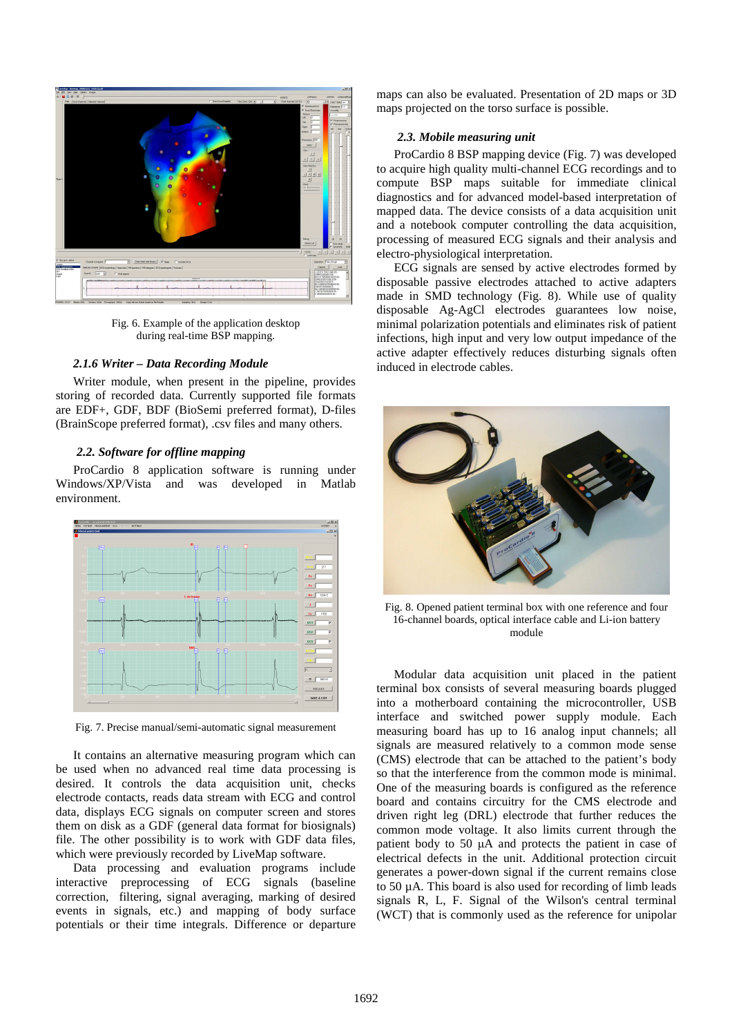

Fig. 6. Example of the application desktop during real-time BSP mapping.

#### *2.1.6 Writer – Data Recording Module*

Writer module, when present in the pipeline, provides storing of recorded data. Currently supported file formats are EDF+, GDF, BDF (BioSemi preferred format), D-files (BrainScope preferred format), .csv files and many others.

## *2.2. Software for offline mapping*

ProCardio 8 application software is running under Windows/XP/Vista and was developed in Matlab environment.



Fig. 7. Precise manual/semi-automatic signal measurement

It contains an alternative measuring program which can be used when no advanced real time data processing is desired. It controls the data acquisition unit, checks electrode contacts, reads data stream with ECG and control data, displays ECG signals on computer screen and stores them on disk as a GDF (general data format for biosignals) file. The other possibility is to work with GDF data files, which were previously recorded by LiveMap software.

Data processing and evaluation programs include interactive preprocessing of ECG signals (baseline correction, filtering, signal averaging, marking of desired events in signals, etc.) and mapping of body surface potentials or their time integrals. Difference or departure maps can also be evaluated. Presentation of 2D maps or 3D maps projected on the torso surface is possible.

#### *2.3. Mobile measuring unit*

ProCardio 8 BSP mapping device (Fig. 7) was developed to acquire high quality multi-channel ECG recordings and to compute BSP maps suitable for immediate clinical diagnostics and for advanced model-based interpretation of mapped data. The device consists of a data acquisition unit and a notebook computer controlling the data acquisition, processing of measured ECG signals and their analysis and electro-physiological interpretation.

ECG signals are sensed by active electrodes formed by disposable passive electrodes attached to active adapters made in SMD technology (Fig. 8). While use of quality disposable Ag-AgCl electrodes guarantees low noise, minimal polarization potentials and eliminates risk of patient infections, high input and very low output impedance of the active adapter effectively reduces disturbing signals often induced in electrode cables.



Fig. 8. Opened patient terminal box with one reference and four 16-channel boards, optical interface cable and Li-ion battery module

Modular data acquisition unit placed in the patient terminal box consists of several measuring boards plugged into a motherboard containing the microcontroller, USB interface and switched power supply module. Each measuring board has up to 16 analog input channels; all signals are measured relatively to a common mode sense (CMS) electrode that can be attached to the patient's body so that the interference from the common mode is minimal. One of the measuring boards is configured as the reference board and contains circuitry for the CMS electrode and driven right leg (DRL) electrode that further reduces the common mode voltage. It also limits current through the patient body to 50 µA and protects the patient in case of electrical defects in the unit. Additional protection circuit generates a power-down signal if the current remains close to 50 µA. This board is also used for recording of limb leads signals R, L, F. Signal of the Wilson's central terminal (WCT) that is commonly used as the reference for unipolar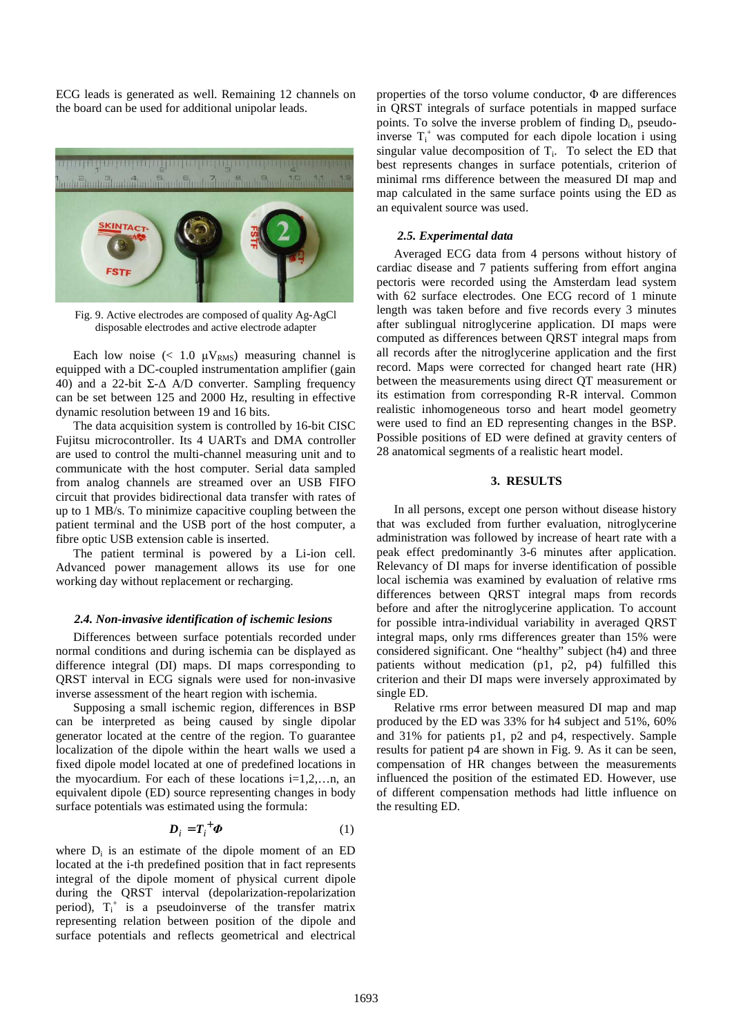ECG leads is generated as well. Remaining 12 channels on the board can be used for additional unipolar leads.



Fig. 9. Active electrodes are composed of quality Ag-AgCl disposable electrodes and active electrode adapter

Each low noise  $(< 1.0 \mu V_{RMS})$  measuring channel is equipped with a DC-coupled instrumentation amplifier (gain 40) and a 22-bit Σ-∆ A/D converter. Sampling frequency can be set between 125 and 2000 Hz, resulting in effective dynamic resolution between 19 and 16 bits.

The data acquisition system is controlled by 16-bit CISC Fujitsu microcontroller. Its 4 UARTs and DMA controller are used to control the multi-channel measuring unit and to communicate with the host computer. Serial data sampled from analog channels are streamed over an USB FIFO circuit that provides bidirectional data transfer with rates of up to 1 MB/s. To minimize capacitive coupling between the patient terminal and the USB port of the host computer, a fibre optic USB extension cable is inserted.

The patient terminal is powered by a Li-ion cell. Advanced power management allows its use for one working day without replacement or recharging.

#### *2.4. Non-invasive identification of ischemic lesions*

Differences between surface potentials recorded under normal conditions and during ischemia can be displayed as difference integral (DI) maps. DI maps corresponding to QRST interval in ECG signals were used for non-invasive inverse assessment of the heart region with ischemia.

Supposing a small ischemic region, differences in BSP can be interpreted as being caused by single dipolar generator located at the centre of the region. To guarantee localization of the dipole within the heart walls we used a fixed dipole model located at one of predefined locations in the myocardium. For each of these locations  $i=1,2,...n$ , an equivalent dipole (ED) source representing changes in body surface potentials was estimated using the formula:

$$
\boldsymbol{D}_i = \boldsymbol{T}_i^+ \boldsymbol{\Phi} \tag{1}
$$

where  $D_i$  is an estimate of the dipole moment of an ED located at the i-th predefined position that in fact represents integral of the dipole moment of physical current dipole during the QRST interval (depolarization-repolarization period),  $T_i^+$  is a pseudoinverse of the transfer matrix representing relation between position of the dipole and surface potentials and reflects geometrical and electrical

properties of the torso volume conductor,  $\Phi$  are differences in QRST integrals of surface potentials in mapped surface points. To solve the inverse problem of finding  $D_i$ , pseudoinverse  $T_i^+$  was computed for each dipole location i using singular value decomposition of  $T_i$ . To select the ED that best represents changes in surface potentials, criterion of minimal rms difference between the measured DI map and map calculated in the same surface points using the ED as an equivalent source was used.

## *2.5. Experimental data*

Averaged ECG data from 4 persons without history of cardiac disease and 7 patients suffering from effort angina pectoris were recorded using the Amsterdam lead system with 62 surface electrodes. One ECG record of 1 minute length was taken before and five records every 3 minutes after sublingual nitroglycerine application. DI maps were computed as differences between QRST integral maps from all records after the nitroglycerine application and the first record. Maps were corrected for changed heart rate (HR) between the measurements using direct QT measurement or its estimation from corresponding R-R interval. Common realistic inhomogeneous torso and heart model geometry were used to find an ED representing changes in the BSP. Possible positions of ED were defined at gravity centers of 28 anatomical segments of a realistic heart model.

## **3. RESULTS**

In all persons, except one person without disease history that was excluded from further evaluation, nitroglycerine administration was followed by increase of heart rate with a peak effect predominantly 3-6 minutes after application. Relevancy of DI maps for inverse identification of possible local ischemia was examined by evaluation of relative rms differences between QRST integral maps from records before and after the nitroglycerine application. To account for possible intra-individual variability in averaged QRST integral maps, only rms differences greater than 15% were considered significant. One "healthy" subject (h4) and three patients without medication (p1, p2, p4) fulfilled this criterion and their DI maps were inversely approximated by single ED.

Relative rms error between measured DI map and map produced by the ED was 33% for h4 subject and 51%, 60% and 31% for patients p1, p2 and p4, respectively. Sample results for patient p4 are shown in Fig. 9. As it can be seen, compensation of HR changes between the measurements influenced the position of the estimated ED. However, use of different compensation methods had little influence on the resulting ED.